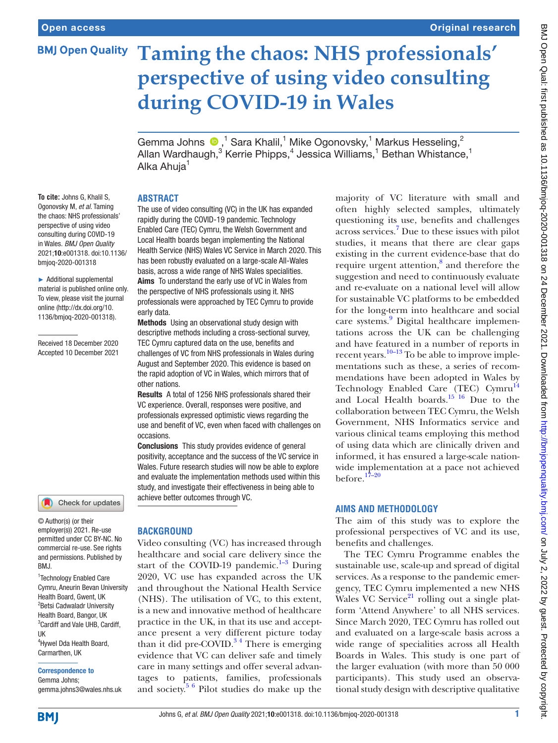# **BMJ Open Quality**

Original research

# **Taming the chaos: NHS professionals' perspective of using video consulting during COVID-19 in Wales**

Gemma Johns  $\bigcirc$ ,<sup>1</sup> Sara Khalil,<sup>1</sup> Mike Ogonovsky,<sup>1</sup> Markus Hesseling,<sup>2</sup> Allan Wardhaugh,<sup>3</sup> Kerrie Phipps,<sup>4</sup> Jessica Williams,<sup>1</sup> Bethan Whistance,<sup>1</sup> Alka Ahuja<sup>1</sup>

#### **ABSTRACT**

**To cite:** Johns G, Khalil S, Ogonovsky M, *et al*. Taming the chaos: NHS professionals' perspective of using video consulting during COVID-19 in Wales. *BMJ Open Quality* 2021;10:e001318. doi:10.1136/ bmjoq-2020-001318

► Additional supplemental material is published online only. To view, please visit the journal online [\(http://dx.doi.org/10.](http://dx.doi.org/10.1136/bmjoq-2020-001318) [1136/bmjoq-2020-001318](http://dx.doi.org/10.1136/bmjoq-2020-001318)).

Received 18 December 2020 Accepted 10 December 2021



© Author(s) (or their employer(s)) 2021. Re-use permitted under CC BY-NC. No commercial re-use. See rights and permissions. Published by BMJ.

1 Technology Enabled Care Cymru, Aneurin Bevan University Health Board, Gwent, UK <sup>2</sup> Betsi Cadwaladr University Health Board, Bangor, UK 3 Cardiff and Vale UHB, Cardiff, UK

4 Hywel Dda Health Board, Carmarthen, UK

#### Correspondence to

Gemma Johns; gemma.johns3@wales.nhs.uk

The use of video consulting (VC) in the UK has expanded rapidly during the COVID-19 pandemic. Technology Enabled Care (TEC) Cymru, the Welsh Government and Local Health boards began implementing the National Health Service (NHS) Wales VC Service in March 2020. This has been robustly evaluated on a large-scale All-Wales basis, across a wide range of NHS Wales specialities. Aims To understand the early use of VC in Wales from the perspective of NHS professionals using it. NHS professionals were approached by TEC Cymru to provide early data.

Methods Using an observational study design with descriptive methods including a cross-sectional survey, TEC Cymru captured data on the use, benefits and challenges of VC from NHS professionals in Wales during August and September 2020. This evidence is based on the rapid adoption of VC in Wales, which mirrors that of other nations.

Results A total of 1256 NHS professionals shared their VC experience. Overall, responses were positive, and professionals expressed optimistic views regarding the use and benefit of VC, even when faced with challenges on occasions.

Conclusions This study provides evidence of general positivity, acceptance and the success of the VC service in Wales. Future research studies will now be able to explore and evaluate the implementation methods used within this study, and investigate their effectiveness in being able to achieve better outcomes through VC.

#### **BACKGROUND**

Video consulting (VC) has increased through healthcare and social care delivery since the start of the COVID-19 pandemic. $1-3$  During 2020, VC use has expanded across the UK and throughout the National Health Service (NHS). The utilisation of VC, to this extent, is a new and innovative method of healthcare practice in the UK, in that its use and acceptance present a very different picture today than it did pre-COVID.<sup>34</sup> There is emerging evidence that VC can deliver safe and timely care in many settings and offer several advantages to patients, families, professionals and society. $56$  Pilot studies do make up the

majority of VC literature with small and often highly selected samples, ultimately questioning its use, benefits and challenges across services.[7](#page-7-3) Due to these issues with pilot studies, it means that there are clear gaps existing in the current evidence-base that do require urgent attention,<sup>[8](#page-7-4)</sup> and therefore the suggestion and need to continuously evaluate and re-evaluate on a national level will allow for sustainable VC platforms to be embedded for the long-term into healthcare and social care systems.<sup>[9](#page-7-5)</sup> Digital healthcare implementations across the UK can be challenging and have featured in a number of reports in recent years.<sup>10–13</sup> To be able to improve implementations such as these, a series of recommendations have been adopted in Wales by Technology Enabled Care (TEC) Cymru<sup>[14](#page-7-7)</sup> and Local Health boards.<sup>15 16</sup> Due to the collaboration between TEC Cymru, the Welsh Government, NHS Informatics service and various clinical teams employing this method of using data which are clinically driven and informed, it has ensured a large-scale nationwide implementation at a pace not achieved before. $17-20$ 

#### **AIMS AND METHODOLOGY**

The aim of this study was to explore the professional perspectives of VC and its use, benefits and challenges.

The TEC Cymru Programme enables the sustainable use, scale-up and spread of digital services. As a response to the pandemic emergency, TEC Cymru implemented a new NHS Wales VC Service<sup>[21](#page-7-10)</sup> rolling out a single platform 'Attend Anywhere' to all NHS services. Since March 2020, TEC Cymru has rolled out and evaluated on a large-scale basis across a wide range of specialities across all Health Boards in Wales. This study is one part of the larger evaluation (with more than 50 000 participants). This study used an observational study design with descriptive qualitative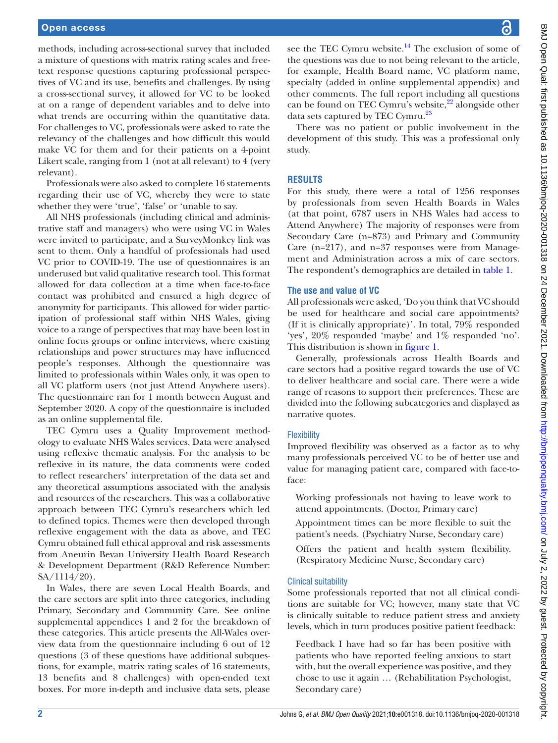methods, including across-sectional survey that included a mixture of questions with matrix rating scales and freetext response questions capturing professional perspectives of VC and its use, benefits and challenges. By using a cross-sectional survey, it allowed for VC to be looked at on a range of dependent variables and to delve into what trends are occurring within the quantitative data. For challenges to VC, professionals were asked to rate the relevancy of the challenges and how difficult this would make VC for them and for their patients on a 4-point Likert scale, ranging from 1 (not at all relevant) to 4 (very relevant).

Professionals were also asked to complete 16 statements regarding their use of VC, whereby they were to state whether they were 'true', 'false' or 'unable to say.

All NHS professionals (including clinical and administrative staff and managers) who were using VC in Wales were invited to participate, and a SurveyMonkey link was sent to them. Only a handful of professionals had used VC prior to COVID-19. The use of questionnaires is an underused but valid qualitative research tool. This format allowed for data collection at a time when face-to-face contact was prohibited and ensured a high degree of anonymity for participants. This allowed for wider participation of professional staff within NHS Wales, giving voice to a range of perspectives that may have been lost in online focus groups or online interviews, where existing relationships and power structures may have influenced people's responses. Although the questionnaire was limited to professionals within Wales only, it was open to all VC platform users (not just Attend Anywhere users). The questionnaire ran for 1 month between August and September 2020. A copy of the questionnaire is included as an [online supplemental file](https://dx.doi.org/10.1136/bmjoq-2020-001318).

TEC Cymru uses a Quality Improvement methodology to evaluate NHS Wales services. Data were analysed using reflexive thematic analysis. For the analysis to be reflexive in its nature, the data comments were coded to reflect researchers' interpretation of the data set and any theoretical assumptions associated with the analysis and resources of the researchers. This was a collaborative approach between TEC Cymru's researchers which led to defined topics. Themes were then developed through reflexive engagement with the data as above, and TEC Cymru obtained full ethical approval and risk assessments from Aneurin Bevan University Health Board Research & Development Department (R&D Reference Number: SA/1114/20).

In Wales, there are seven Local Health Boards, and the care sectors are split into three categories, including Primary, Secondary and Community Care. See [online](https://dx.doi.org/10.1136/bmjoq-2020-001318) [supplemental appendices 1 and 2](https://dx.doi.org/10.1136/bmjoq-2020-001318) for the breakdown of these categories. This article presents the All-Wales overview data from the questionnaire including 6 out of 12 questions (3 of these questions have additional subquestions, for example, matrix rating scales of 16 statements, 13 benefits and 8 challenges) with open-ended text boxes. For more in-depth and inclusive data sets, please

see the TEC Cymru website. $14$  The exclusion of some of the questions was due to not being relevant to the article, for example, Health Board name, VC platform name, specialty (added in [online supplemental appendix](https://dx.doi.org/10.1136/bmjoq-2020-001318)) and other comments. The full report including all questions can be found on TEC Cymru's website, $^{22}$  alongside other data sets captured by TEC Cymru.<sup>23</sup>

There was no patient or public involvement in the development of this study. This was a professional only study.

# **RESULTS**

For this study, there were a total of 1256 responses by professionals from seven Health Boards in Wales (at that point, 6787 users in NHS Wales had access to Attend Anywhere) The majority of responses were from Secondary Care (n=873) and Primary and Community Care (n=217), and n=37 responses were from Management and Administration across a mix of care sectors. The respondent's demographics are detailed in [table](#page-2-0) 1.

#### **The use and value of VC**

All professionals were asked, 'Do you think that VC should be used for healthcare and social care appointments? (If it is clinically appropriate)'. In total, 79% responded 'yes', 20% responded 'maybe' and 1% responded 'no'. This distribution is shown in [figure](#page-2-1) 1.

Generally, professionals across Health Boards and care sectors had a positive regard towards the use of VC to deliver healthcare and social care. There were a wide range of reasons to support their preferences. These are divided into the following subcategories and displayed as narrative quotes.

# **Flexibility**

Improved flexibility was observed as a factor as to why many professionals perceived VC to be of better use and value for managing patient care, compared with face-toface:

- Working professionals not having to leave work to attend appointments. (Doctor, Primary care)
- Appointment times can be more flexible to suit the patient's needs. (Psychiatry Nurse, Secondary care)
- Offers the patient and health system flexibility. (Respiratory Medicine Nurse, Secondary care)

#### Clinical suitability

Some professionals reported that not all clinical conditions are suitable for VC; however, many state that VC is clinically suitable to reduce patient stress and anxiety levels, which in turn produces positive patient feedback:

Feedback I have had so far has been positive with patients who have reported feeling anxious to start with, but the overall experience was positive, and they chose to use it again … (Rehabilitation Psychologist, Secondary care)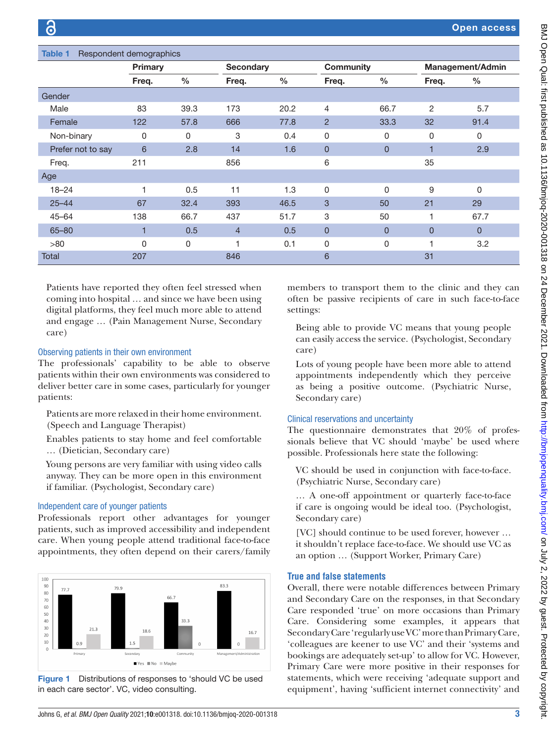<span id="page-2-0"></span>

| Respondent demographics<br>Table 1 |         |      |                  |               |                |                |                         |                |
|------------------------------------|---------|------|------------------|---------------|----------------|----------------|-------------------------|----------------|
|                                    | Primary |      | <b>Secondary</b> |               | Community      |                | <b>Management/Admin</b> |                |
|                                    | Freq.   | $\%$ | Freq.            | $\frac{0}{0}$ | Freq.          | $\%$           | Freq.                   | $\frac{0}{0}$  |
| Gender                             |         |      |                  |               |                |                |                         |                |
| Male                               | 83      | 39.3 | 173              | 20.2          | 4              | 66.7           | 2                       | 5.7            |
| Female                             | 122     | 57.8 | 666              | 77.8          | $\overline{2}$ | 33.3           | 32                      | 91.4           |
| Non-binary                         | 0       | 0    | 3                | 0.4           | $\mathbf 0$    | 0              | 0                       | 0              |
| Prefer not to say                  | 6       | 2.8  | 14               | 1.6           | 0              | $\overline{0}$ | 1                       | 2.9            |
| Freq.                              | 211     |      | 856              |               | 6              |                | 35                      |                |
| Age                                |         |      |                  |               |                |                |                         |                |
| $18 - 24$                          | 1       | 0.5  | 11               | 1.3           | $\mathbf 0$    | 0              | 9                       | $\Omega$       |
| $25 - 44$                          | 67      | 32.4 | 393              | 46.5          | 3              | 50             | 21                      | 29             |
| $45 - 64$                          | 138     | 66.7 | 437              | 51.7          | 3              | 50             | 1                       | 67.7           |
| $65 - 80$                          |         | 0.5  | $\overline{4}$   | 0.5           | $\overline{0}$ | $\overline{0}$ | $\overline{0}$          | $\overline{0}$ |
| >80                                | 0       | 0    | 1                | 0.1           | 0              | 0              |                         | 3.2            |
| <b>Total</b>                       | 207     |      | 846              |               | 6              |                | 31                      |                |

Patients have reported they often feel stressed when coming into hospital … and since we have been using digital platforms, they feel much more able to attend and engage … (Pain Management Nurse, Secondary care)

#### Observing patients in their own environment

The professionals' capability to be able to observe patients within their own environments was considered to deliver better care in some cases, particularly for younger patients:

Patients are more relaxed in their home environment. (Speech and Language Therapist)

Enables patients to stay home and feel comfortable … (Dietician, Secondary care)

Young persons are very familiar with using video calls anyway. They can be more open in this environment if familiar. (Psychologist, Secondary care)

# Independent care of younger patients

Professionals report other advantages for younger patients, such as improved accessibility and independent care. When young people attend traditional face-to-face appointments, they often depend on their carers/family



<span id="page-2-1"></span>Figure 1 Distributions of responses to 'should VC be used in each care sector'. VC, video consulting.

members to transport them to the clinic and they can often be passive recipients of care in such face-to-face settings:

Being able to provide VC means that young people can easily access the service. (Psychologist, Secondary care)

Lots of young people have been more able to attend appointments independently which they perceive as being a positive outcome. (Psychiatric Nurse, Secondary care)

# Clinical reservations and uncertainty

The questionnaire demonstrates that 20% of professionals believe that VC should 'maybe' be used where possible. Professionals here state the following:

VC should be used in conjunction with face-to-face. (Psychiatric Nurse, Secondary care)

… A one-off appointment or quarterly face-to-face if care is ongoing would be ideal too. (Psychologist, Secondary care)

[VC] should continue to be used forever, however ... it shouldn't replace face-to-face. We should use VC as an option … (Support Worker, Primary Care)

# **True and false statements**

Overall, there were notable differences between Primary and Secondary Care on the responses, in that Secondary Care responded 'true' on more occasions than Primary Care. Considering some examples, it appears that Secondary Care 'regularly use VC' more than Primary Care, 'colleagues are keener to use VC' and their 'systems and bookings are adequately set-up' to allow for VC. However, Primary Care were more positive in their responses for statements, which were receiving 'adequate support and equipment', having 'sufficient internet connectivity' and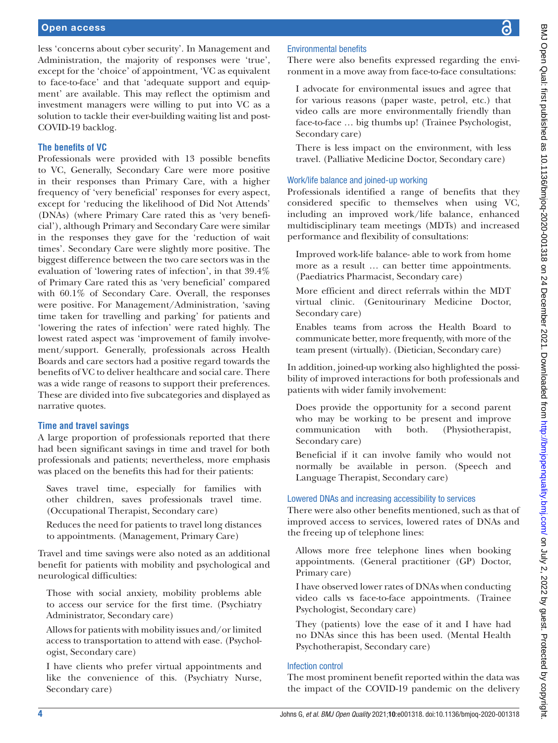less 'concerns about cyber security'. In Management and Administration, the majority of responses were 'true', except for the 'choice' of appointment, 'VC as equivalent to face-to-face' and that 'adequate support and equipment' are available. This may reflect the optimism and investment managers were willing to put into VC as a solution to tackle their ever-building waiting list and post-COVID-19 backlog.

# **The benefits of VC**

Professionals were provided with 13 possible benefits to VC, Generally, Secondary Care were more positive in their responses than Primary Care, with a higher frequency of 'very beneficial' responses for every aspect, except for 'reducing the likelihood of Did Not Attends' (DNAs) (where Primary Care rated this as 'very beneficial'), although Primary and Secondary Care were similar in the responses they gave for the 'reduction of wait times'. Secondary Care were slightly more positive. The biggest difference between the two care sectors was in the evaluation of 'lowering rates of infection', in that 39.4% of Primary Care rated this as 'very beneficial' compared with 60.1% of Secondary Care. Overall, the responses were positive. For Management/Administration, 'saving time taken for travelling and parking' for patients and 'lowering the rates of infection' were rated highly. The lowest rated aspect was 'improvement of family involvement/support. Generally, professionals across Health Boards and care sectors had a positive regard towards the benefits of VC to deliver healthcare and social care. There was a wide range of reasons to support their preferences. These are divided into five subcategories and displayed as narrative quotes.

# **Time and travel savings**

A large proportion of professionals reported that there had been significant savings in time and travel for both professionals and patients; nevertheless, more emphasis was placed on the benefits this had for their patients:

Saves travel time, especially for families with other children, saves professionals travel time. (Occupational Therapist, Secondary care)

Reduces the need for patients to travel long distances to appointments. (Management, Primary Care)

Travel and time savings were also noted as an additional benefit for patients with mobility and psychological and neurological difficulties:

Those with social anxiety, mobility problems able to access our service for the first time. (Psychiatry Administrator, Secondary care)

Allows for patients with mobility issues and/or limited access to transportation to attend with ease. (Psychologist, Secondary care)

I have clients who prefer virtual appointments and like the convenience of this. (Psychiatry Nurse, Secondary care)

# Environmental benefits

There were also benefits expressed regarding the environment in a move away from face-to-face consultations:

I advocate for environmental issues and agree that for various reasons (paper waste, petrol, etc.) that video calls are more environmentally friendly than face-to-face … big thumbs up! (Trainee Psychologist, Secondary care)

There is less impact on the environment, with less travel. (Palliative Medicine Doctor, Secondary care)

# Work/life balance and joined-up working

Professionals identified a range of benefits that they considered specific to themselves when using VC, including an improved work/life balance, enhanced multidisciplinary team meetings (MDTs) and increased performance and flexibility of consultations:

- Improved work-life balance- able to work from home more as a result … can better time appointments. (Paediatrics Pharmacist, Secondary care)
- More efficient and direct referrals within the MDT virtual clinic. (Genitourinary Medicine Doctor, Secondary care)
- Enables teams from across the Health Board to communicate better, more frequently, with more of the team present (virtually). (Dietician, Secondary care)

In addition, joined-up working also highlighted the possibility of improved interactions for both professionals and patients with wider family involvement:

Does provide the opportunity for a second parent who may be working to be present and improve communication with both. (Physiotherapist, Secondary care)

Beneficial if it can involve family who would not normally be available in person. (Speech and Language Therapist, Secondary care)

# Lowered DNAs and increasing accessibility to services

There were also other benefits mentioned, such as that of improved access to services, lowered rates of DNAs and the freeing up of telephone lines:

Allows more free telephone lines when booking appointments. (General practitioner (GP) Doctor, Primary care)

I have observed lower rates of DNAs when conducting video calls vs face-to-face appointments. (Trainee Psychologist, Secondary care)

They (patients) love the ease of it and I have had no DNAs since this has been used. (Mental Health Psychotherapist, Secondary care)

# Infection control

The most prominent benefit reported within the data was the impact of the COVID-19 pandemic on the delivery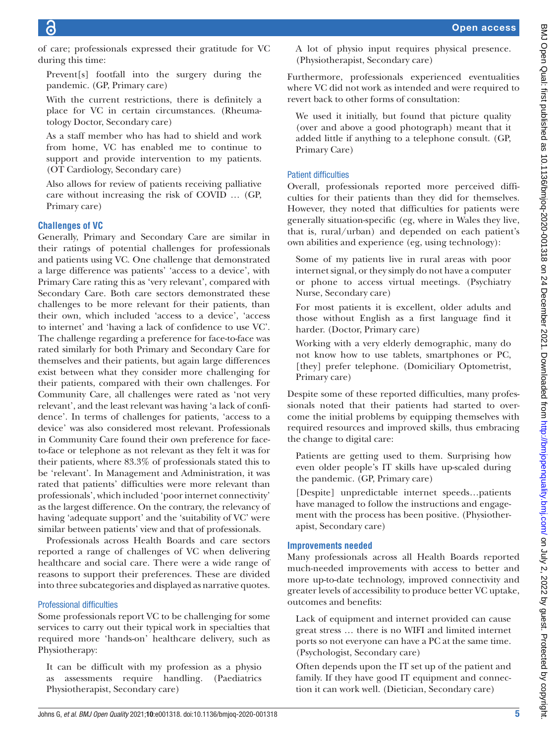of care; professionals expressed their gratitude for VC during this time:

Prevent[s] footfall into the surgery during the pandemic. (GP, Primary care)

With the current restrictions, there is definitely a place for VC in certain circumstances. (Rheumatology Doctor, Secondary care)

As a staff member who has had to shield and work from home, VC has enabled me to continue to support and provide intervention to my patients. (OT Cardiology, Secondary care)

Also allows for review of patients receiving palliative care without increasing the risk of COVID … (GP, Primary care)

# **Challenges of VC**

Generally, Primary and Secondary Care are similar in their ratings of potential challenges for professionals and patients using VC. One challenge that demonstrated a large difference was patients' 'access to a device', with Primary Care rating this as 'very relevant', compared with Secondary Care. Both care sectors demonstrated these challenges to be more relevant for their patients, than their own, which included 'access to a device', 'access to internet' and 'having a lack of confidence to use VC'. The challenge regarding a preference for face-to-face was rated similarly for both Primary and Secondary Care for themselves and their patients, but again large differences exist between what they consider more challenging for their patients, compared with their own challenges. For Community Care, all challenges were rated as 'not very relevant', and the least relevant was having 'a lack of confidence'. In terms of challenges for patients, 'access to a device' was also considered most relevant. Professionals in Community Care found their own preference for faceto-face or telephone as not relevant as they felt it was for their patients, where 83.3% of professionals stated this to be 'relevant'. In Management and Administration, it was rated that patients' difficulties were more relevant than professionals', which included 'poor internet connectivity' as the largest difference. On the contrary, the relevancy of having 'adequate support' and the 'suitability of VC' were similar between patients' view and that of professionals.

Professionals across Health Boards and care sectors reported a range of challenges of VC when delivering healthcare and social care. There were a wide range of reasons to support their preferences. These are divided into three subcategories and displayed as narrative quotes.

# Professional difficulties

Some professionals report VC to be challenging for some services to carry out their typical work in specialties that required more 'hands-on' healthcare delivery, such as Physiotherapy:

It can be difficult with my profession as a physio as assessments require handling. (Paediatrics Physiotherapist, Secondary care)

A lot of physio input requires physical presence. (Physiotherapist, Secondary care)

Furthermore, professionals experienced eventualities where VC did not work as intended and were required to revert back to other forms of consultation:

We used it initially, but found that picture quality (over and above a good photograph) meant that it added little if anything to a telephone consult. (GP, Primary Care)

# Patient difficulties

Overall, professionals reported more perceived difficulties for their patients than they did for themselves. However, they noted that difficulties for patients were generally situation-specific (eg, where in Wales they live, that is, rural/urban) and depended on each patient's own abilities and experience (eg, using technology):

- Some of my patients live in rural areas with poor internet signal, or they simply do not have a computer or phone to access virtual meetings. (Psychiatry Nurse, Secondary care)
- For most patients it is excellent, older adults and those without English as a first language find it harder. (Doctor, Primary care)
- Working with a very elderly demographic, many do not know how to use tablets, smartphones or PC, [they] prefer telephone. (Domiciliary Optometrist, Primary care)

Despite some of these reported difficulties, many professionals noted that their patients had started to overcome the initial problems by equipping themselves with required resources and improved skills, thus embracing the change to digital care:

Patients are getting used to them. Surprising how even older people's IT skills have up-scaled during the pandemic. (GP, Primary care)

[Despite] unpredictable internet speeds…patients have managed to follow the instructions and engagement with the process has been positive. (Physiotherapist, Secondary care)

# **Improvements needed**

Many professionals across all Health Boards reported much-needed improvements with access to better and more up-to-date technology, improved connectivity and greater levels of accessibility to produce better VC uptake, outcomes and benefits:

Lack of equipment and internet provided can cause great stress … there is no WIFI and limited internet ports so not everyone can have a PC at the same time. (Psychologist, Secondary care)

Often depends upon the IT set up of the patient and family. If they have good IT equipment and connection it can work well. (Dietician, Secondary care)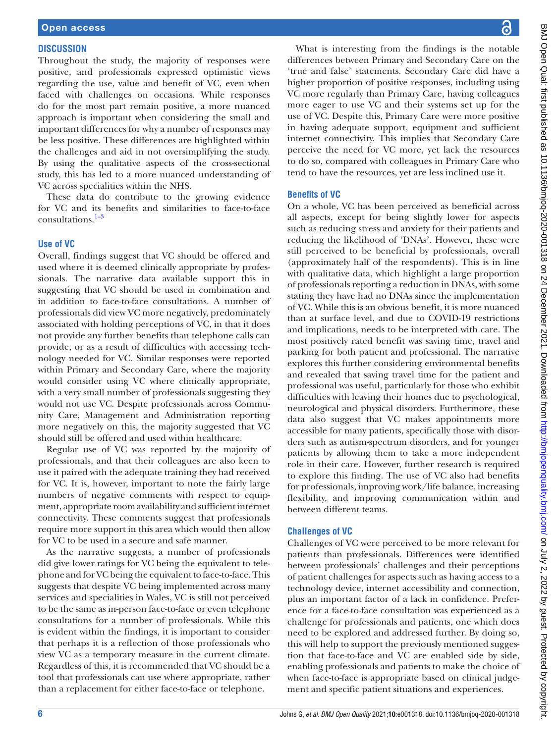#### **DISCUSSION**

Throughout the study, the majority of responses were positive, and professionals expressed optimistic views regarding the use, value and benefit of VC, even when faced with challenges on occasions. While responses do for the most part remain positive, a more nuanced approach is important when considering the small and important differences for why a number of responses may be less positive. These differences are highlighted within the challenges and aid in not oversimplifying the study. By using the qualitative aspects of the cross-sectional study, this has led to a more nuanced understanding of VC across specialities within the NHS.

These data do contribute to the growing evidence for VC and its benefits and similarities to face-to-face  $consultations.<sup>1-3</sup>$ 

#### **Use of VC**

Overall, findings suggest that VC should be offered and used where it is deemed clinically appropriate by professionals. The narrative data available support this in suggesting that VC should be used in combination and in addition to face-to-face consultations. A number of professionals did view VC more negatively, predominately associated with holding perceptions of VC, in that it does not provide any further benefits than telephone calls can provide, or as a result of difficulties with accessing technology needed for VC. Similar responses were reported within Primary and Secondary Care, where the majority would consider using VC where clinically appropriate, with a very small number of professionals suggesting they would not use VC. Despite professionals across Community Care, Management and Administration reporting more negatively on this, the majority suggested that VC should still be offered and used within healthcare.

Regular use of VC was reported by the majority of professionals, and that their colleagues are also keen to use it paired with the adequate training they had received for VC. It is, however, important to note the fairly large numbers of negative comments with respect to equipment, appropriate room availability and sufficient internet connectivity. These comments suggest that professionals require more support in this area which would then allow for VC to be used in a secure and safe manner.

As the narrative suggests, a number of professionals did give lower ratings for VC being the equivalent to telephone and for VC being the equivalent to face-to-face. This suggests that despite VC being implemented across many services and specialities in Wales, VC is still not perceived to be the same as in-person face-to-face or even telephone consultations for a number of professionals. While this is evident within the findings, it is important to consider that perhaps it is a reflection of those professionals who view VC as a temporary measure in the current climate. Regardless of this, it is recommended that VC should be a tool that professionals can use where appropriate, rather than a replacement for either face-to-face or telephone.

BMJ Open Qual: first published as 10.1136/bmjoq-2020-001318 on 24 December 2021. Downloaded from http://bmjopenquality.bmj.com/ on July 2, 2022 by guest. Protected by copyright BMJ Open Qual: first published as 10.1136/bmjoq-2020-001318 on 24 December 2021. Downloaded from <http://bmjopenquality.bmj.com/> on July 2, 2022 by guest. Protected by copyright.

What is interesting from the findings is the notable differences between Primary and Secondary Care on the 'true and false' statements. Secondary Care did have a higher proportion of positive responses, including using VC more regularly than Primary Care, having colleagues more eager to use VC and their systems set up for the use of VC. Despite this, Primary Care were more positive in having adequate support, equipment and sufficient internet connectivity. This implies that Secondary Care perceive the need for VC more, yet lack the resources to do so, compared with colleagues in Primary Care who tend to have the resources, yet are less inclined use it.

#### **Benefits of VC**

On a whole, VC has been perceived as beneficial across all aspects, except for being slightly lower for aspects such as reducing stress and anxiety for their patients and reducing the likelihood of 'DNAs'. However, these were still perceived to be beneficial by professionals, overall (approximately half of the respondents). This is in line with qualitative data, which highlight a large proportion of professionals reporting a reduction in DNAs, with some stating they have had no DNAs since the implementation of VC. While this is an obvious benefit, it is more nuanced than at surface level, and due to COVID-19 restrictions and implications, needs to be interpreted with care. The most positively rated benefit was saving time, travel and parking for both patient and professional. The narrative explores this further considering environmental benefits and revealed that saving travel time for the patient and professional was useful, particularly for those who exhibit difficulties with leaving their homes due to psychological, neurological and physical disorders. Furthermore, these data also suggest that VC makes appointments more accessible for many patients, specifically those with disorders such as autism-spectrum disorders, and for younger patients by allowing them to take a more independent role in their care. However, further research is required to explore this finding. The use of VC also had benefits for professionals, improving work/life balance, increasing flexibility, and improving communication within and between different teams.

#### **Challenges of VC**

Challenges of VC were perceived to be more relevant for patients than professionals. Differences were identified between professionals' challenges and their perceptions of patient challenges for aspects such as having access to a technology device, internet accessibility and connection, plus an important factor of a lack in confidence. Preference for a face-to-face consultation was experienced as a challenge for professionals and patients, one which does need to be explored and addressed further. By doing so, this will help to support the previously mentioned suggestion that face-to-face and VC are enabled side by side, enabling professionals and patients to make the choice of when face-to-face is appropriate based on clinical judgement and specific patient situations and experiences.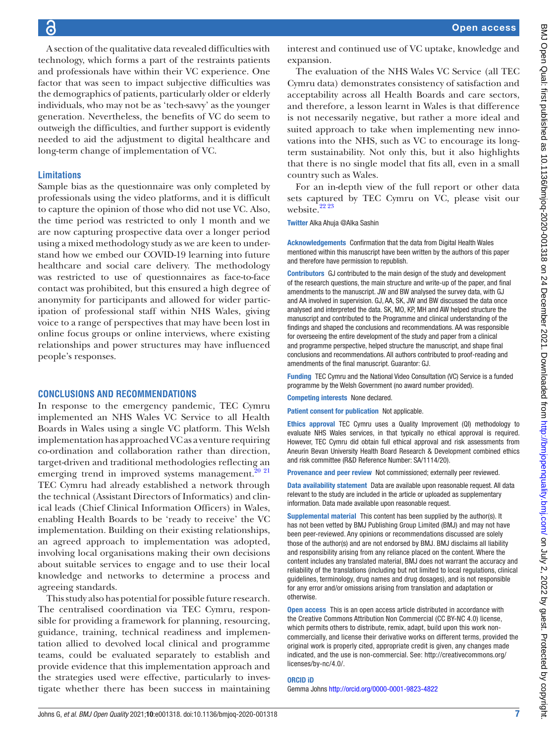A section of the qualitative data revealed difficulties with technology, which forms a part of the restraints patients and professionals have within their VC experience. One factor that was seen to impact subjective difficulties was the demographics of patients, particularly older or elderly individuals, who may not be as 'tech-savvy' as the younger generation. Nevertheless, the benefits of VC do seem to outweigh the difficulties, and further support is evidently needed to aid the adjustment to digital healthcare and long-term change of implementation of VC.

#### **Limitations**

Sample bias as the questionnaire was only completed by professionals using the video platforms, and it is difficult to capture the opinion of those who did not use VC. Also, the time period was restricted to only 1 month and we are now capturing prospective data over a longer period using a mixed methodology study as we are keen to understand how we embed our COVID-19 learning into future healthcare and social care delivery. The methodology was restricted to use of questionnaires as face-to-face contact was prohibited, but this ensured a high degree of anonymity for participants and allowed for wider participation of professional staff within NHS Wales, giving voice to a range of perspectives that may have been lost in online focus groups or online interviews, where existing relationships and power structures may have influenced people's responses.

#### **CONCLUSIONS AND RECOMMENDATIONS**

In response to the emergency pandemic, TEC Cymru implemented an NHS Wales VC Service to all Health Boards in Wales using a single VC platform. This Welsh implementation has approached VC as a venture requiring co-ordination and collaboration rather than direction, target-driven and traditional methodologies reflecting an emerging trend in improved systems management. $20$   $21$ TEC Cymru had already established a network through the technical (Assistant Directors of Informatics) and clinical leads (Chief Clinical Information Officers) in Wales, enabling Health Boards to be 'ready to receive' the VC implementation. Building on their existing relationships, an agreed approach to implementation was adopted, involving local organisations making their own decisions about suitable services to engage and to use their local knowledge and networks to determine a process and agreeing standards.

This study also has potential for possible future research. The centralised coordination via TEC Cymru, responsible for providing a framework for planning, resourcing, guidance, training, technical readiness and implementation allied to devolved local clinical and programme teams, could be evaluated separately to establish and provide evidence that this implementation approach and the strategies used were effective, particularly to investigate whether there has been success in maintaining

interest and continued use of VC uptake, knowledge and expansion.

The evaluation of the NHS Wales VC Service (all TEC Cymru data) demonstrates consistency of satisfaction and acceptability across all Health Boards and care sectors, and therefore, a lesson learnt in Wales is that difference is not necessarily negative, but rather a more ideal and suited approach to take when implementing new innovations into the NHS, such as VC to encourage its longterm sustainability. Not only this, but it also highlights that there is no single model that fits all, even in a small country such as Wales.

For an in-depth view of the full report or other data sets captured by TEC Cymru on VC, please visit our website.<sup>22 23</sup>

Twitter Alka Ahuja [@Alka Sashin](https://twitter.com/Alka Sashin)

Acknowledgements Confirmation that the data from Digital Health Wales mentioned within this manuscript have been written by the authors of this paper and therefore have permission to republish.

Contributors GJ contributed to the main design of the study and development of the research questions, the main structure and write-up of the paper, and final amendments to the manuscript. JW and BW analysed the survey data, with GJ and AA involved in supervision. GJ, AA, SK, JW and BW discussed the data once analysed and interpreted the data. SK, MO, KP, MH and AW helped structure the manuscript and contributed to the Programme and clinical understanding of the findings and shaped the conclusions and recommendations. AA was responsible for overseeing the entire development of the study and paper from a clinical and programme perspective, helped structure the manuscript, and shape final conclusions and recommendations. All authors contributed to proof-reading and amendments of the final manuscript. Guarantor: GJ.

Funding TEC Cymru and the National Video Consultation (VC) Service is a funded programme by the Welsh Government (no award number provided).

Competing interests None declared.

Patient consent for publication Not applicable.

Ethics approval TEC Cymru uses a Quality Improvement (QI) methodology to evaluate NHS Wales services, in that typically no ethical approval is required. However, TEC Cymru did obtain full ethical approval and risk assessments from Aneurin Bevan University Health Board Research & Development combined ethics and risk committee (R&D Reference Number: SA/1114/20).

Provenance and peer review Not commissioned; externally peer reviewed.

Data availability statement Data are available upon reasonable request. All data relevant to the study are included in the article or uploaded as supplementary information. Data made available upon reasonable request.

Supplemental material This content has been supplied by the author(s). It has not been vetted by BMJ Publishing Group Limited (BMJ) and may not have been peer-reviewed. Any opinions or recommendations discussed are solely those of the author(s) and are not endorsed by BMJ. BMJ disclaims all liability and responsibility arising from any reliance placed on the content. Where the content includes any translated material, BMJ does not warrant the accuracy and reliability of the translations (including but not limited to local regulations, clinical guidelines, terminology, drug names and drug dosages), and is not responsible for any error and/or omissions arising from translation and adaptation or otherwise.

Open access This is an open access article distributed in accordance with the Creative Commons Attribution Non Commercial (CC BY-NC 4.0) license, which permits others to distribute, remix, adapt, build upon this work noncommercially, and license their derivative works on different terms, provided the original work is properly cited, appropriate credit is given, any changes made indicated, and the use is non-commercial. See: [http://creativecommons.org/](http://creativecommons.org/licenses/by-nc/4.0/) [licenses/by-nc/4.0/](http://creativecommons.org/licenses/by-nc/4.0/).

#### ORCID iD

Gemma Johns<http://orcid.org/0000-0001-9823-4822>